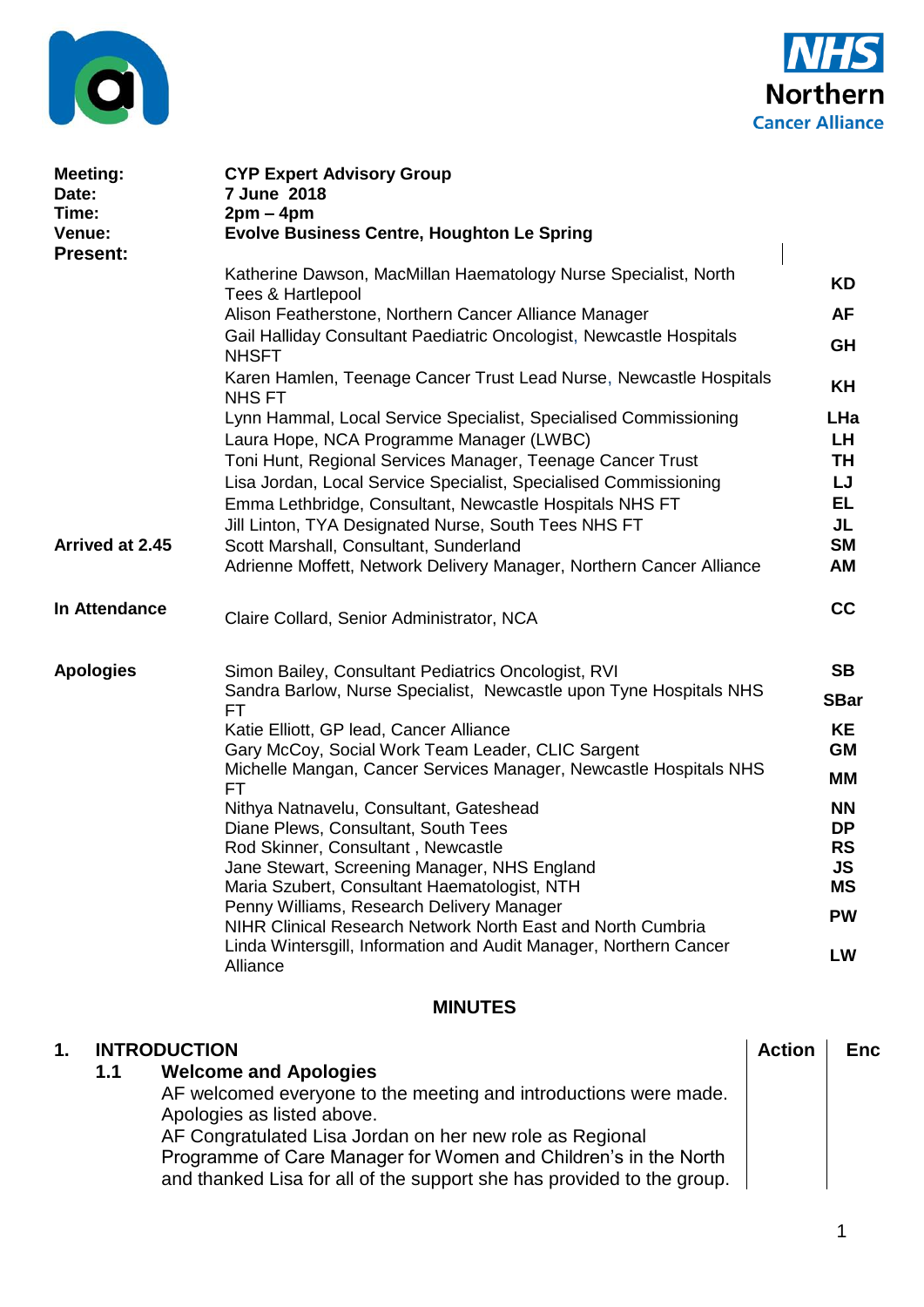



| <b>Meeting:</b><br>Date:<br>Time:<br>Venue:<br><b>Present:</b> | <b>CYP Expert Advisory Group</b><br>7 June 2018<br>$2pm - 4pm$<br><b>Evolve Business Centre, Houghton Le Spring</b>              |                  |
|----------------------------------------------------------------|----------------------------------------------------------------------------------------------------------------------------------|------------------|
|                                                                | Katherine Dawson, MacMillan Haematology Nurse Specialist, North<br>Tees & Hartlepool                                             | <b>KD</b>        |
|                                                                | Alison Featherstone, Northern Cancer Alliance Manager                                                                            | <b>AF</b>        |
|                                                                | Gail Halliday Consultant Paediatric Oncologist, Newcastle Hospitals<br><b>NHSFT</b>                                              | <b>GH</b>        |
|                                                                | Karen Hamlen, Teenage Cancer Trust Lead Nurse, Newcastle Hospitals<br><b>NHS FT</b>                                              | KH               |
|                                                                | Lynn Hammal, Local Service Specialist, Specialised Commissioning<br>Laura Hope, NCA Programme Manager (LWBC)                     | LHa<br><b>LH</b> |
|                                                                | Toni Hunt, Regional Services Manager, Teenage Cancer Trust                                                                       | TH               |
|                                                                | Lisa Jordan, Local Service Specialist, Specialised Commissioning<br>Emma Lethbridge, Consultant, Newcastle Hospitals NHS FT      | LJ<br>EL.        |
|                                                                | Jill Linton, TYA Designated Nurse, South Tees NHS FT                                                                             | JL               |
| Arrived at 2.45<br>Scott Marshall, Consultant, Sunderland      |                                                                                                                                  | <b>SM</b>        |
|                                                                | Adrienne Moffett, Network Delivery Manager, Northern Cancer Alliance                                                             | AM               |
| In Attendance                                                  | Claire Collard, Senior Administrator, NCA                                                                                        | cc               |
| <b>Apologies</b>                                               | Simon Bailey, Consultant Pediatrics Oncologist, RVI                                                                              | <b>SB</b>        |
|                                                                | Sandra Barlow, Nurse Specialist, Newcastle upon Tyne Hospitals NHS<br><b>FT</b>                                                  | <b>SBar</b>      |
|                                                                | Katie Elliott, GP lead, Cancer Alliance                                                                                          | KE               |
|                                                                | Gary McCoy, Social Work Team Leader, CLIC Sargent                                                                                | GM               |
|                                                                | Michelle Mangan, Cancer Services Manager, Newcastle Hospitals NHS<br>FT.                                                         | <b>MM</b>        |
|                                                                | Nithya Natnavelu, Consultant, Gateshead                                                                                          | <b>NN</b>        |
|                                                                | Diane Plews, Consultant, South Tees                                                                                              | <b>DP</b>        |
|                                                                | Rod Skinner, Consultant, Newcastle<br>Jane Stewart, Screening Manager, NHS England                                               | <b>RS</b><br>JS. |
|                                                                | Maria Szubert, Consultant Haematologist, NTH                                                                                     | <b>MS</b>        |
|                                                                | Penny Williams, Research Delivery Manager                                                                                        | <b>PW</b>        |
|                                                                | NIHR Clinical Research Network North East and North Cumbria<br>Linda Wintersgill, Information and Audit Manager, Northern Cancer |                  |
|                                                                | Alliance                                                                                                                         | LW               |

## **MINUTES**

| 1. |     | <b>INTRODUCTION</b>                                                                                                                                                                                                                 | <b>Action</b> | <b>Enc</b> |
|----|-----|-------------------------------------------------------------------------------------------------------------------------------------------------------------------------------------------------------------------------------------|---------------|------------|
|    | 1.1 | <b>Welcome and Apologies</b><br>AF welcomed everyone to the meeting and introductions were made.                                                                                                                                    |               |            |
|    |     | Apologies as listed above.<br>AF Congratulated Lisa Jordan on her new role as Regional<br>Programme of Care Manager for Women and Children's in the North<br>and thanked Lisa for all of the support she has provided to the group. |               |            |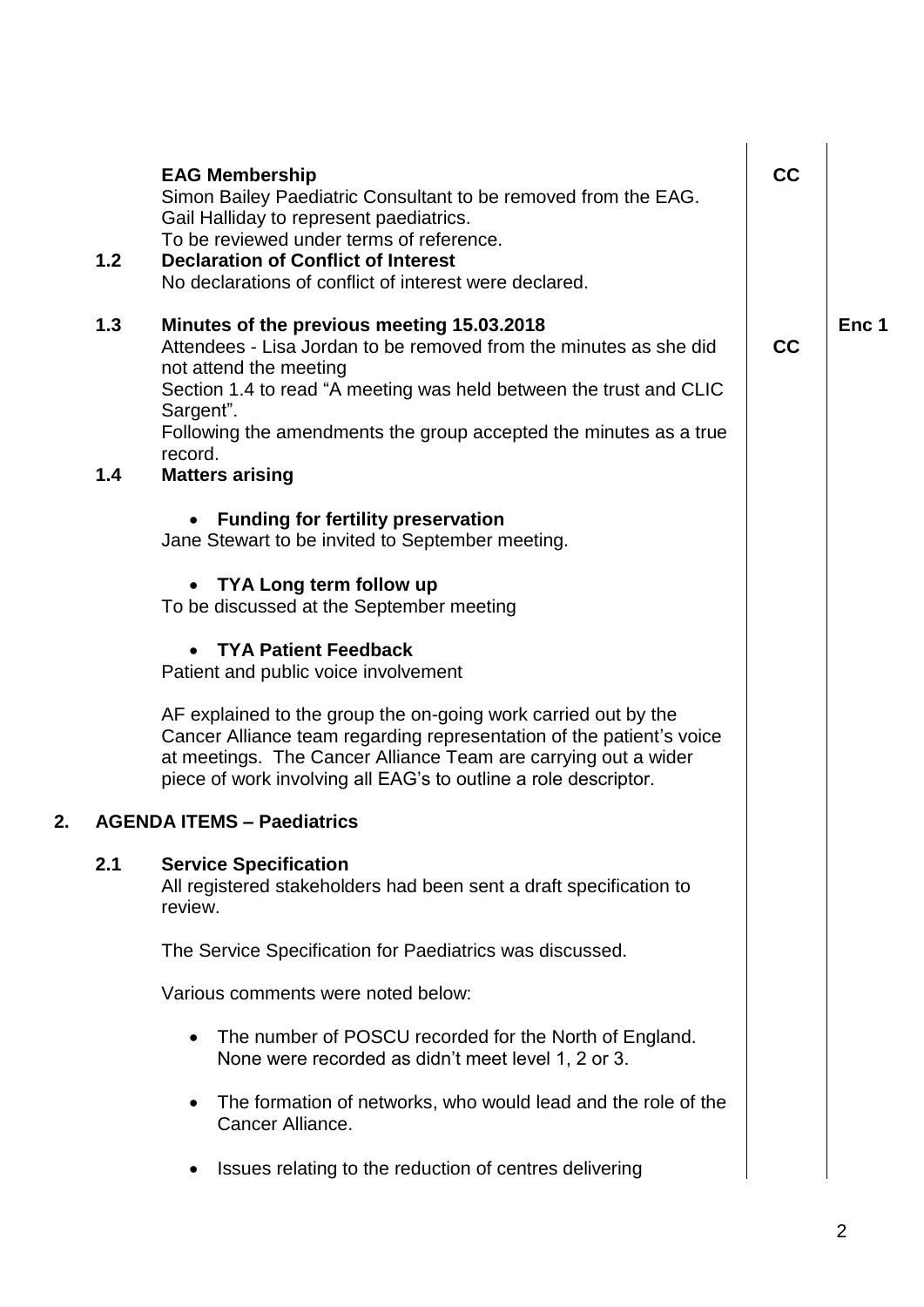|    |                                   | <b>EAG Membership</b><br>Simon Bailey Paediatric Consultant to be removed from the EAG.<br>Gail Halliday to represent paediatrics.                                                                                                                                                                           | cc |                  |
|----|-----------------------------------|--------------------------------------------------------------------------------------------------------------------------------------------------------------------------------------------------------------------------------------------------------------------------------------------------------------|----|------------------|
|    | 1.2                               | To be reviewed under terms of reference.<br><b>Declaration of Conflict of Interest</b><br>No declarations of conflict of interest were declared.                                                                                                                                                             |    |                  |
|    | 1.3                               | Minutes of the previous meeting 15.03.2018<br>Attendees - Lisa Jordan to be removed from the minutes as she did<br>not attend the meeting<br>Section 1.4 to read "A meeting was held between the trust and CLIC<br>Sargent".<br>Following the amendments the group accepted the minutes as a true<br>record. | cc | Enc <sub>1</sub> |
|    | 1.4                               | <b>Matters arising</b>                                                                                                                                                                                                                                                                                       |    |                  |
|    |                                   | • Funding for fertility preservation<br>Jane Stewart to be invited to September meeting.                                                                                                                                                                                                                     |    |                  |
|    |                                   | • TYA Long term follow up<br>To be discussed at the September meeting                                                                                                                                                                                                                                        |    |                  |
|    |                                   | • TYA Patient Feedback<br>Patient and public voice involvement                                                                                                                                                                                                                                               |    |                  |
|    |                                   | AF explained to the group the on-going work carried out by the<br>Cancer Alliance team regarding representation of the patient's voice<br>at meetings. The Cancer Alliance Team are carrying out a wider<br>piece of work involving all EAG's to outline a role descriptor.                                  |    |                  |
| 2. | <b>AGENDA ITEMS - Paediatrics</b> |                                                                                                                                                                                                                                                                                                              |    |                  |
|    | 2.1                               | <b>Service Specification</b><br>All registered stakeholders had been sent a draft specification to<br>review.                                                                                                                                                                                                |    |                  |
|    |                                   | The Service Specification for Paediatrics was discussed.                                                                                                                                                                                                                                                     |    |                  |
|    |                                   | Various comments were noted below:                                                                                                                                                                                                                                                                           |    |                  |
|    |                                   | The number of POSCU recorded for the North of England.<br>٠<br>None were recorded as didn't meet level 1, 2 or 3.                                                                                                                                                                                            |    |                  |
|    |                                   | The formation of networks, who would lead and the role of the<br>٠<br>Cancer Alliance.                                                                                                                                                                                                                       |    |                  |
|    |                                   | Issues relating to the reduction of centres delivering                                                                                                                                                                                                                                                       |    |                  |
|    |                                   |                                                                                                                                                                                                                                                                                                              |    |                  |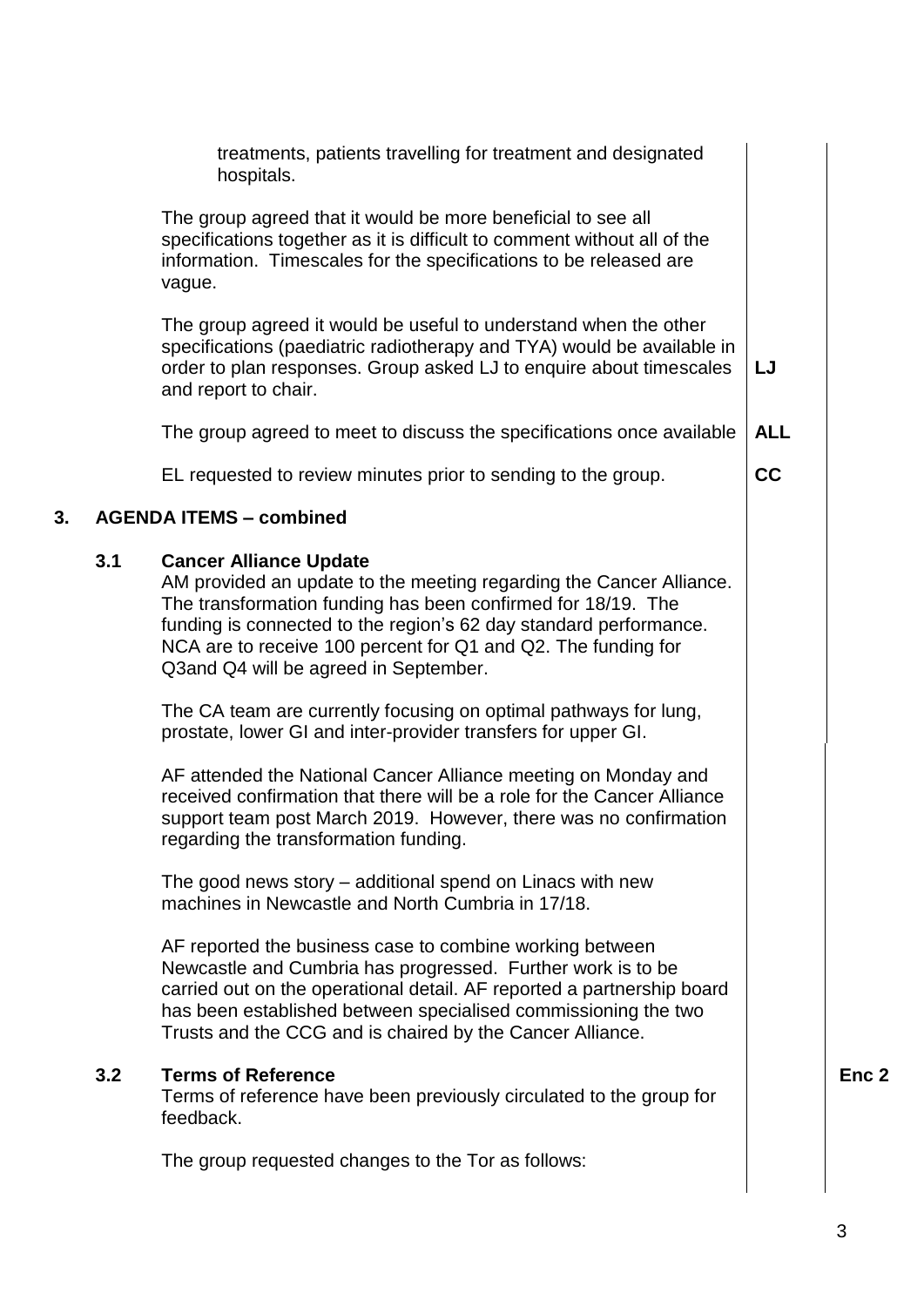|    |     | treatments, patients travelling for treatment and designated<br>hospitals.                                                                                                                                                                                                                                                                          |            |                  |
|----|-----|-----------------------------------------------------------------------------------------------------------------------------------------------------------------------------------------------------------------------------------------------------------------------------------------------------------------------------------------------------|------------|------------------|
|    |     | The group agreed that it would be more beneficial to see all<br>specifications together as it is difficult to comment without all of the<br>information. Timescales for the specifications to be released are<br>vague.                                                                                                                             |            |                  |
|    |     | The group agreed it would be useful to understand when the other<br>specifications (paediatric radiotherapy and TYA) would be available in<br>order to plan responses. Group asked LJ to enquire about timescales<br>and report to chair.                                                                                                           | LJ         |                  |
|    |     | The group agreed to meet to discuss the specifications once available                                                                                                                                                                                                                                                                               | <b>ALL</b> |                  |
|    |     | EL requested to review minutes prior to sending to the group.                                                                                                                                                                                                                                                                                       | cc         |                  |
| 3. |     | <b>AGENDA ITEMS - combined</b>                                                                                                                                                                                                                                                                                                                      |            |                  |
|    | 3.1 | <b>Cancer Alliance Update</b><br>AM provided an update to the meeting regarding the Cancer Alliance.<br>The transformation funding has been confirmed for 18/19. The<br>funding is connected to the region's 62 day standard performance.<br>NCA are to receive 100 percent for Q1 and Q2. The funding for<br>Q3and Q4 will be agreed in September. |            |                  |
|    |     | The CA team are currently focusing on optimal pathways for lung,<br>prostate, lower GI and inter-provider transfers for upper GI.                                                                                                                                                                                                                   |            |                  |
|    |     | AF attended the National Cancer Alliance meeting on Monday and<br>received confirmation that there will be a role for the Cancer Alliance<br>support team post March 2019. However, there was no confirmation<br>regarding the transformation funding.                                                                                              |            |                  |
|    |     | The good news story – additional spend on Linacs with new<br>machines in Newcastle and North Cumbria in 17/18.                                                                                                                                                                                                                                      |            |                  |
|    |     | AF reported the business case to combine working between<br>Newcastle and Cumbria has progressed. Further work is to be<br>carried out on the operational detail. AF reported a partnership board<br>has been established between specialised commissioning the two<br>Trusts and the CCG and is chaired by the Cancer Alliance.                    |            |                  |
|    | 3.2 | <b>Terms of Reference</b><br>Terms of reference have been previously circulated to the group for<br>feedback.                                                                                                                                                                                                                                       |            | Enc <sub>2</sub> |
|    |     | The group requested changes to the Tor as follows:                                                                                                                                                                                                                                                                                                  |            |                  |
|    |     |                                                                                                                                                                                                                                                                                                                                                     |            |                  |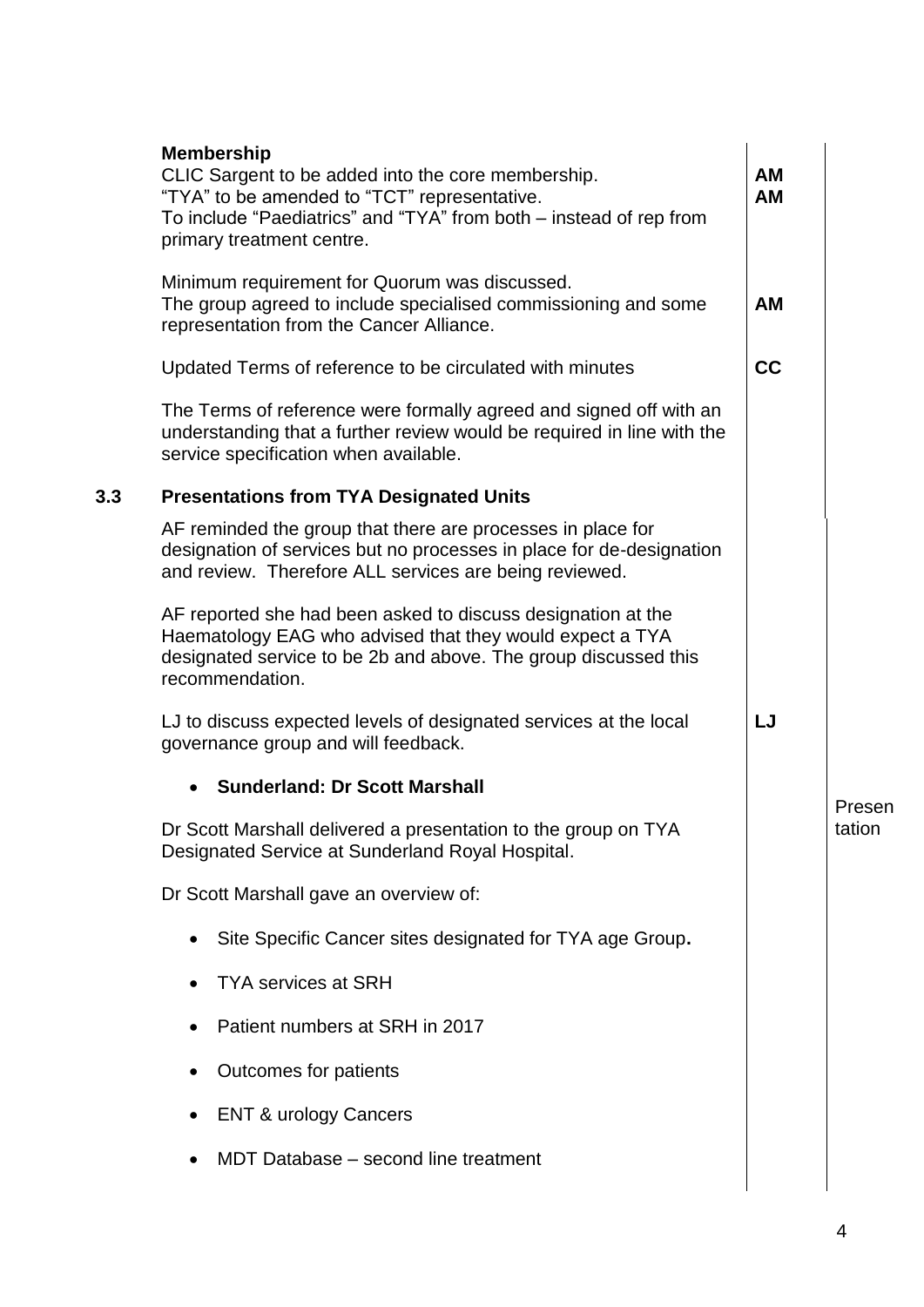| Minimum requirement for Quorum was discussed.<br>The group agreed to include specialised commissioning and some<br><b>AM</b><br>representation from the Cancer Alliance.<br>cc<br>Updated Terms of reference to be circulated with minutes<br>The Terms of reference were formally agreed and signed off with an<br>understanding that a further review would be required in line with the<br>service specification when available. |        |
|-------------------------------------------------------------------------------------------------------------------------------------------------------------------------------------------------------------------------------------------------------------------------------------------------------------------------------------------------------------------------------------------------------------------------------------|--------|
|                                                                                                                                                                                                                                                                                                                                                                                                                                     |        |
|                                                                                                                                                                                                                                                                                                                                                                                                                                     |        |
|                                                                                                                                                                                                                                                                                                                                                                                                                                     |        |
| 3.3<br><b>Presentations from TYA Designated Units</b>                                                                                                                                                                                                                                                                                                                                                                               |        |
| AF reminded the group that there are processes in place for<br>designation of services but no processes in place for de-designation<br>and review. Therefore ALL services are being reviewed.                                                                                                                                                                                                                                       |        |
| AF reported she had been asked to discuss designation at the<br>Haematology EAG who advised that they would expect a TYA<br>designated service to be 2b and above. The group discussed this<br>recommendation.                                                                                                                                                                                                                      |        |
| LJ<br>LJ to discuss expected levels of designated services at the local<br>governance group and will feedback.                                                                                                                                                                                                                                                                                                                      |        |
| <b>Sunderland: Dr Scott Marshall</b>                                                                                                                                                                                                                                                                                                                                                                                                |        |
| tation<br>Dr Scott Marshall delivered a presentation to the group on TYA<br>Designated Service at Sunderland Royal Hospital.                                                                                                                                                                                                                                                                                                        | Presen |
| Dr Scott Marshall gave an overview of:                                                                                                                                                                                                                                                                                                                                                                                              |        |
| Site Specific Cancer sites designated for TYA age Group.                                                                                                                                                                                                                                                                                                                                                                            |        |
| <b>TYA services at SRH</b>                                                                                                                                                                                                                                                                                                                                                                                                          |        |
| Patient numbers at SRH in 2017                                                                                                                                                                                                                                                                                                                                                                                                      |        |
| Outcomes for patients                                                                                                                                                                                                                                                                                                                                                                                                               |        |
| <b>ENT &amp; urology Cancers</b>                                                                                                                                                                                                                                                                                                                                                                                                    |        |
| MDT Database - second line treatment                                                                                                                                                                                                                                                                                                                                                                                                |        |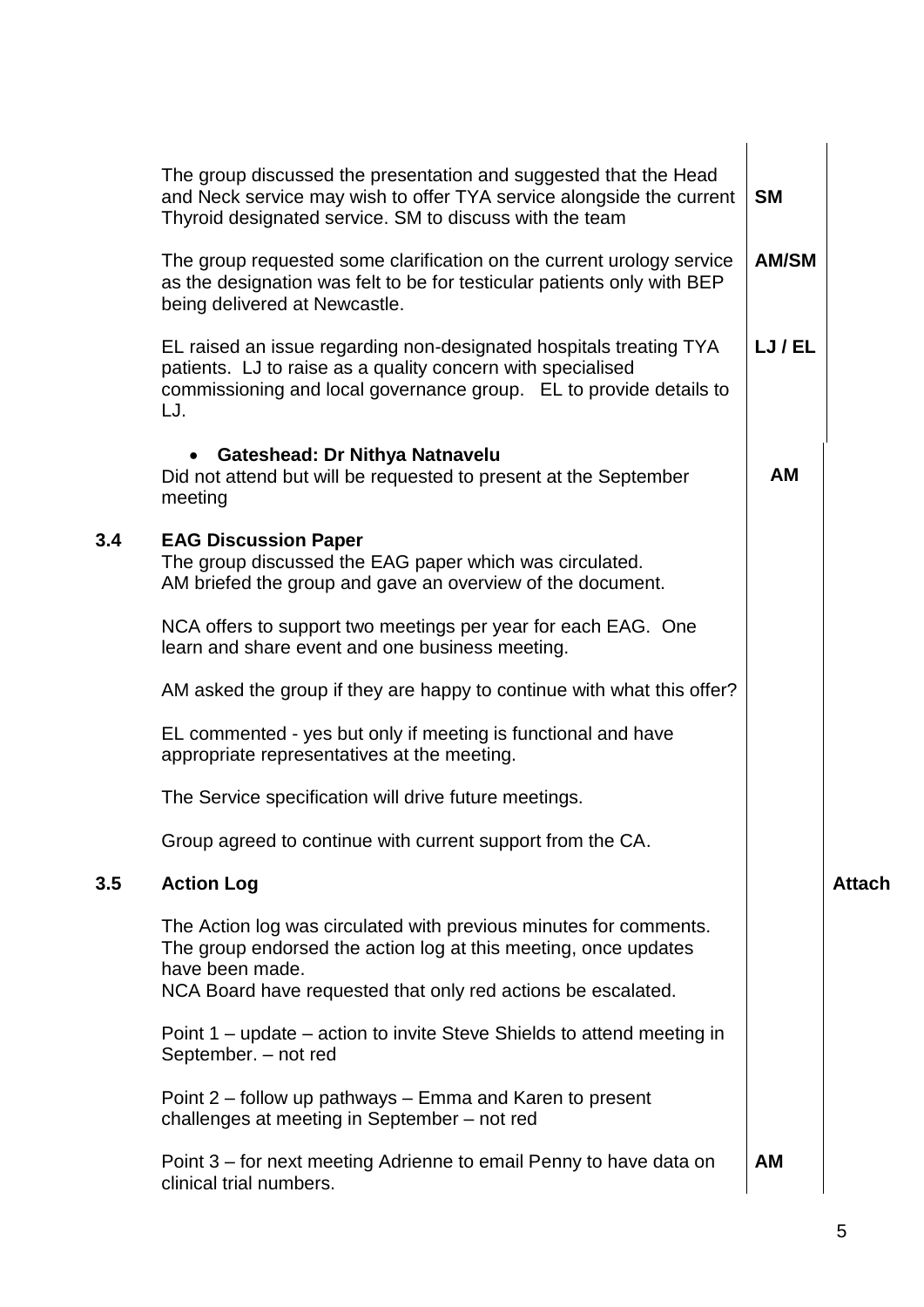|     | The group discussed the presentation and suggested that the Head<br>and Neck service may wish to offer TYA service alongside the current<br>Thyroid designated service. SM to discuss with the team            | <b>SM</b>    |               |
|-----|----------------------------------------------------------------------------------------------------------------------------------------------------------------------------------------------------------------|--------------|---------------|
|     | The group requested some clarification on the current urology service<br>as the designation was felt to be for testicular patients only with BEP<br>being delivered at Newcastle.                              | <b>AM/SM</b> |               |
|     | EL raised an issue regarding non-designated hospitals treating TYA<br>patients. LJ to raise as a quality concern with specialised<br>commissioning and local governance group. EL to provide details to<br>LJ. | LJ/EL        |               |
|     | <b>Gateshead: Dr Nithya Natnavelu</b><br>$\bullet$<br>Did not attend but will be requested to present at the September<br>meeting                                                                              | <b>AM</b>    |               |
| 3.4 | <b>EAG Discussion Paper</b><br>The group discussed the EAG paper which was circulated.<br>AM briefed the group and gave an overview of the document.                                                           |              |               |
|     | NCA offers to support two meetings per year for each EAG. One<br>learn and share event and one business meeting.                                                                                               |              |               |
|     | AM asked the group if they are happy to continue with what this offer?                                                                                                                                         |              |               |
|     | EL commented - yes but only if meeting is functional and have<br>appropriate representatives at the meeting.                                                                                                   |              |               |
|     | The Service specification will drive future meetings.                                                                                                                                                          |              |               |
|     | Group agreed to continue with current support from the CA.                                                                                                                                                     |              |               |
| 3.5 | <b>Action Log</b>                                                                                                                                                                                              |              | <b>Attach</b> |
|     | The Action log was circulated with previous minutes for comments.<br>The group endorsed the action log at this meeting, once updates<br>have been made.                                                        |              |               |
|     | NCA Board have requested that only red actions be escalated.                                                                                                                                                   |              |               |
|     | Point 1 – update – action to invite Steve Shields to attend meeting in<br>September. - not red                                                                                                                 |              |               |
|     | Point 2 – follow up pathways – Emma and Karen to present<br>challenges at meeting in September - not red                                                                                                       |              |               |
|     | Point 3 – for next meeting Adrienne to email Penny to have data on<br>clinical trial numbers.                                                                                                                  | <b>AM</b>    |               |

**3.4**